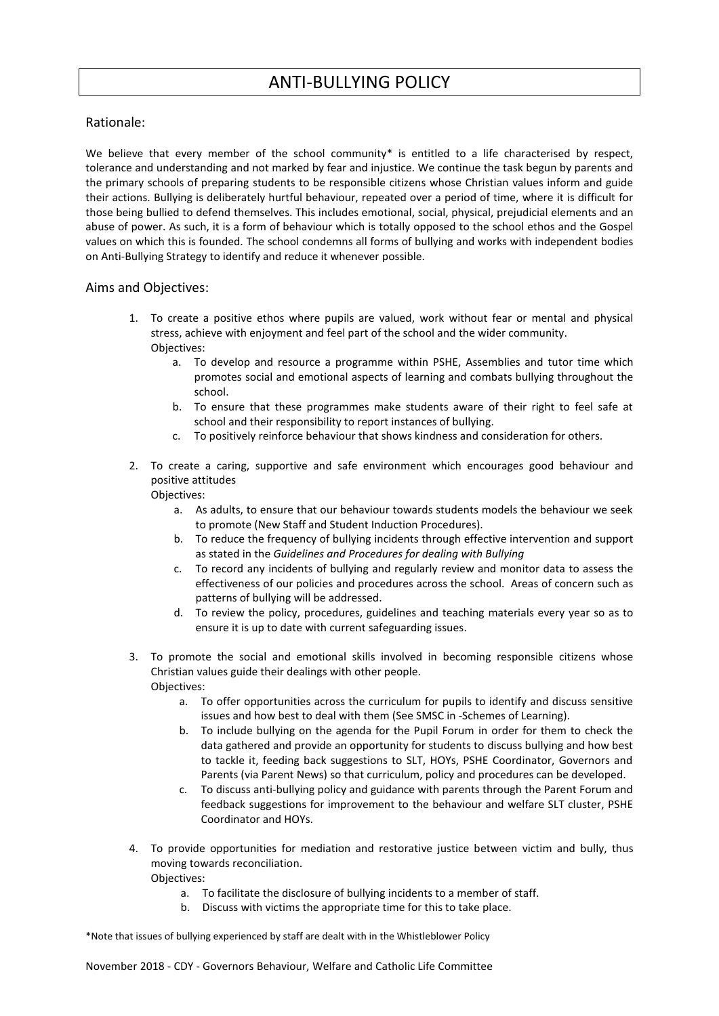# ANTI-BULLYING POLICY

## Rationale:

We believe that every member of the school community\* is entitled to a life characterised by respect, tolerance and understanding and not marked by fear and injustice. We continue the task begun by parents and the primary schools of preparing students to be responsible citizens whose Christian values inform and guide their actions. Bullying is deliberately hurtful behaviour, repeated over a period of time, where it is difficult for those being bullied to defend themselves. This includes emotional, social, physical, prejudicial elements and an abuse of power. As such, it is a form of behaviour which is totally opposed to the school ethos and the Gospel values on which this is founded. The school condemns all forms of bullying and works with independent bodies on Anti-Bullying Strategy to identify and reduce it whenever possible.

## Aims and Objectives:

- 1. To create a positive ethos where pupils are valued, work without fear or mental and physical stress, achieve with enjoyment and feel part of the school and the wider community. Objectives:
	- a. To develop and resource a programme within PSHE, Assemblies and tutor time which promotes social and emotional aspects of learning and combats bullying throughout the school.
	- b. To ensure that these programmes make students aware of their right to feel safe at school and their responsibility to report instances of bullying.
	- c. To positively reinforce behaviour that shows kindness and consideration for others.
- 2. To create a caring, supportive and safe environment which encourages good behaviour and positive attitudes Objectives:
	- a. As adults, to ensure that our behaviour towards students models the behaviour we seek to promote (New Staff and Student Induction Procedures).
	- b. To reduce the frequency of bullying incidents through effective intervention and support as stated in the *Guidelines and Procedures for dealing with Bullying*
	- c. To record any incidents of bullying and regularly review and monitor data to assess the effectiveness of our policies and procedures across the school. Areas of concern such as patterns of bullying will be addressed.
	- d. To review the policy, procedures, guidelines and teaching materials every year so as to ensure it is up to date with current safeguarding issues.
- 3. To promote the social and emotional skills involved in becoming responsible citizens whose Christian values guide their dealings with other people. Objectives:
	- a. To offer opportunities across the curriculum for pupils to identify and discuss sensitive issues and how best to deal with them (See SMSC in -Schemes of Learning).
	- b. To include bullying on the agenda for the Pupil Forum in order for them to check the data gathered and provide an opportunity for students to discuss bullying and how best to tackle it, feeding back suggestions to SLT, HOYs, PSHE Coordinator, Governors and Parents (via Parent News) so that curriculum, policy and procedures can be developed.
	- c. To discuss anti-bullying policy and guidance with parents through the Parent Forum and feedback suggestions for improvement to the behaviour and welfare SLT cluster, PSHE Coordinator and HOYs.
- 4. To provide opportunities for mediation and restorative justice between victim and bully, thus moving towards reconciliation. Objectives:
	- a. To facilitate the disclosure of bullying incidents to a member of staff.
	- b. Discuss with victims the appropriate time for this to take place.

\*Note that issues of bullying experienced by staff are dealt with in the Whistleblower Policy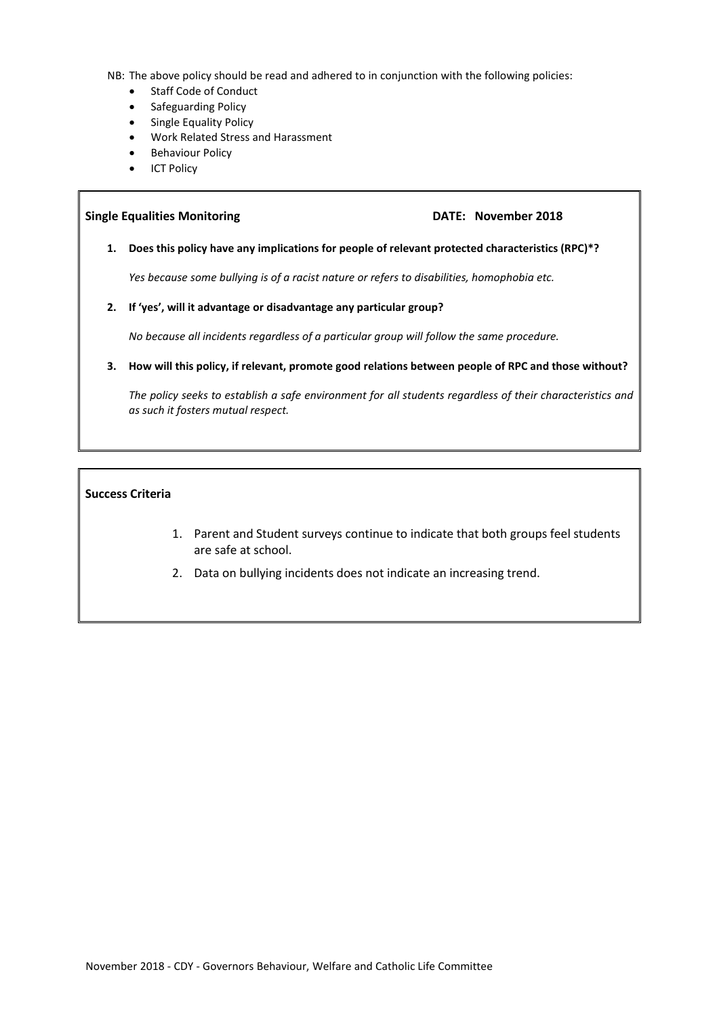NB: The above policy should be read and adhered to in conjunction with the following policies:

- Staff Code of Conduct
- Safeguarding Policy
- Single Equality Policy
- Work Related Stress and Harassment
- **•** Behaviour Policy
- ICT Policy

#### **Single Equalities Monitoring DATE: November 2018**

**1. Does this policy have any implications for people of relevant protected characteristics (RPC)\*?**

*Yes because some bullying is of a racist nature or refers to disabilities, homophobia etc.*

**2. If 'yes', will it advantage or disadvantage any particular group?**

*No because all incidents regardless of a particular group will follow the same procedure.*

**3. How will this policy, if relevant, promote good relations between people of RPC and those without?**

*The policy seeks to establish a safe environment for all students regardless of their characteristics and as such it fosters mutual respect.*

#### **Success Criteria**

- 1. Parent and Student surveys continue to indicate that both groups feel students are safe at school.
- 2. Data on bullying incidents does not indicate an increasing trend.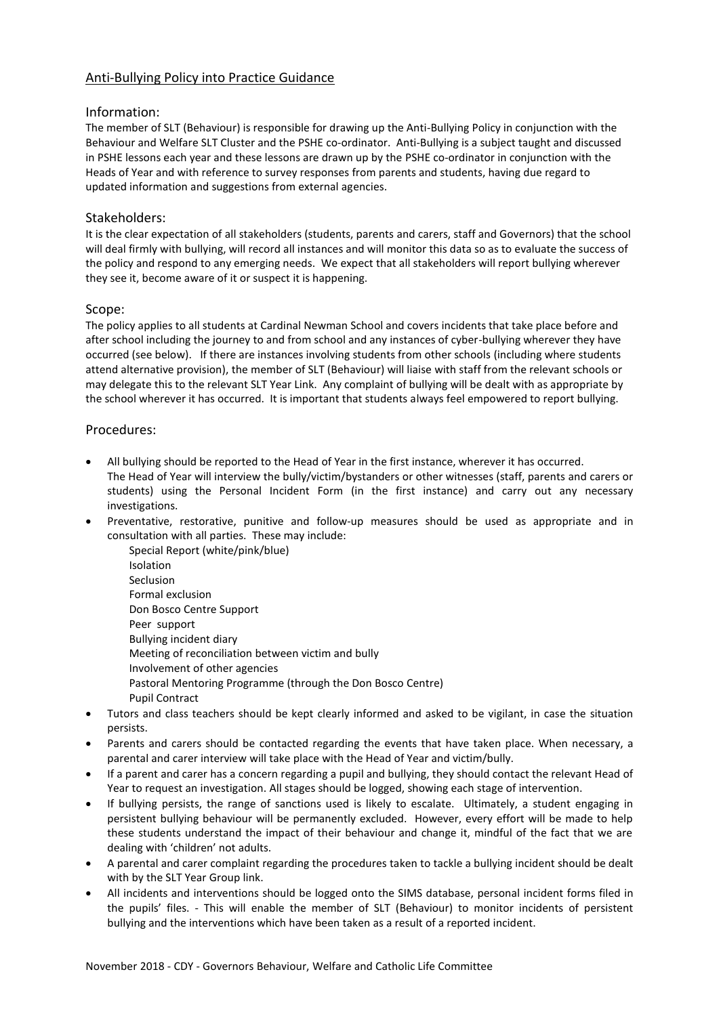# Anti-Bullying Policy into Practice Guidance

## Information:

The member of SLT (Behaviour) is responsible for drawing up the Anti-Bullying Policy in conjunction with the Behaviour and Welfare SLT Cluster and the PSHE co-ordinator. Anti-Bullying is a subject taught and discussed in PSHE lessons each year and these lessons are drawn up by the PSHE co-ordinator in conjunction with the Heads of Year and with reference to survey responses from parents and students, having due regard to updated information and suggestions from external agencies.

## Stakeholders:

It is the clear expectation of all stakeholders (students, parents and carers, staff and Governors) that the school will deal firmly with bullying, will record all instances and will monitor this data so as to evaluate the success of the policy and respond to any emerging needs. We expect that all stakeholders will report bullying wherever they see it, become aware of it or suspect it is happening.

## Scope:

The policy applies to all students at Cardinal Newman School and covers incidents that take place before and after school including the journey to and from school and any instances of cyber-bullying wherever they have occurred (see below). If there are instances involving students from other schools (including where students attend alternative provision), the member of SLT (Behaviour) will liaise with staff from the relevant schools or may delegate this to the relevant SLT Year Link. Any complaint of bullying will be dealt with as appropriate by the school wherever it has occurred. It is important that students always feel empowered to report bullying.

## Procedures:

- All bullying should be reported to the Head of Year in the first instance, wherever it has occurred. The Head of Year will interview the bully/victim/bystanders or other witnesses (staff, parents and carers or students) using the Personal Incident Form (in the first instance) and carry out any necessary investigations.
- Preventative, restorative, punitive and follow-up measures should be used as appropriate and in consultation with all parties. These may include:
	- Special Report (white/pink/blue) Isolation Seclusion Formal exclusion Don Bosco Centre Support Peer support Bullying incident diary Meeting of reconciliation between victim and bully Involvement of other agencies Pastoral Mentoring Programme (through the Don Bosco Centre) Pupil Contract
- Tutors and class teachers should be kept clearly informed and asked to be vigilant, in case the situation persists.
- Parents and carers should be contacted regarding the events that have taken place. When necessary, a parental and carer interview will take place with the Head of Year and victim/bully.
- If a parent and carer has a concern regarding a pupil and bullying, they should contact the relevant Head of Year to request an investigation. All stages should be logged, showing each stage of intervention.
- If bullying persists, the range of sanctions used is likely to escalate. Ultimately, a student engaging in persistent bullying behaviour will be permanently excluded. However, every effort will be made to help these students understand the impact of their behaviour and change it, mindful of the fact that we are dealing with 'children' not adults.
- A parental and carer complaint regarding the procedures taken to tackle a bullying incident should be dealt with by the SLT Year Group link.
- All incidents and interventions should be logged onto the SIMS database, personal incident forms filed in the pupils' files. - This will enable the member of SLT (Behaviour) to monitor incidents of persistent bullying and the interventions which have been taken as a result of a reported incident.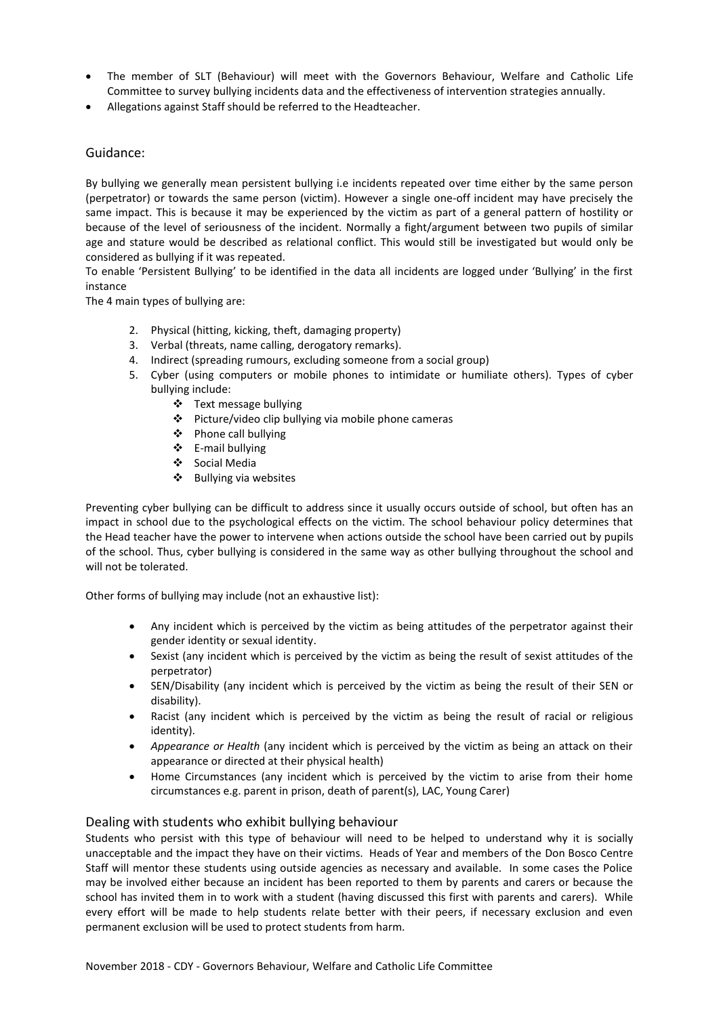- The member of SLT (Behaviour) will meet with the Governors Behaviour, Welfare and Catholic Life Committee to survey bullying incidents data and the effectiveness of intervention strategies annually.
- Allegations against Staff should be referred to the Headteacher.

## Guidance:

By bullying we generally mean persistent bullying i.e incidents repeated over time either by the same person (perpetrator) or towards the same person (victim). However a single one-off incident may have precisely the same impact. This is because it may be experienced by the victim as part of a general pattern of hostility or because of the level of seriousness of the incident. Normally a fight/argument between two pupils of similar age and stature would be described as relational conflict. This would still be investigated but would only be considered as bullying if it was repeated.

To enable 'Persistent Bullying' to be identified in the data all incidents are logged under 'Bullying' in the first instance

The 4 main types of bullying are:

- 2. Physical (hitting, kicking, theft, damaging property)
- 3. Verbal (threats, name calling, derogatory remarks).
- 4. Indirect (spreading rumours, excluding someone from a social group)
- 5. Cyber (using computers or mobile phones to intimidate or humiliate others). Types of cyber bullying include:
	- Text message bullying
	- Picture/video clip bullying via mobile phone cameras
	- Phone call bullying
	- E-mail bullying
	- Social Media
	- $\div$  Bullying via websites

Preventing cyber bullying can be difficult to address since it usually occurs outside of school, but often has an impact in school due to the psychological effects on the victim. The school behaviour policy determines that the Head teacher have the power to intervene when actions outside the school have been carried out by pupils of the school. Thus, cyber bullying is considered in the same way as other bullying throughout the school and will not be tolerated.

Other forms of bullying may include (not an exhaustive list):

- Any incident which is perceived by the victim as being attitudes of the perpetrator against their gender identity or sexual identity.
- Sexist (any incident which is perceived by the victim as being the result of sexist attitudes of the perpetrator)
- SEN/Disability (any incident which is perceived by the victim as being the result of their SEN or disability).
- Racist (any incident which is perceived by the victim as being the result of racial or religious identity).
- *Appearance or Health* (any incident which is perceived by the victim as being an attack on their appearance or directed at their physical health)
- Home Circumstances (any incident which is perceived by the victim to arise from their home circumstances e.g. parent in prison, death of parent(s), LAC, Young Carer)

#### Dealing with students who exhibit bullying behaviour

Students who persist with this type of behaviour will need to be helped to understand why it is socially unacceptable and the impact they have on their victims. Heads of Year and members of the Don Bosco Centre Staff will mentor these students using outside agencies as necessary and available. In some cases the Police may be involved either because an incident has been reported to them by parents and carers or because the school has invited them in to work with a student (having discussed this first with parents and carers). While every effort will be made to help students relate better with their peers, if necessary exclusion and even permanent exclusion will be used to protect students from harm.